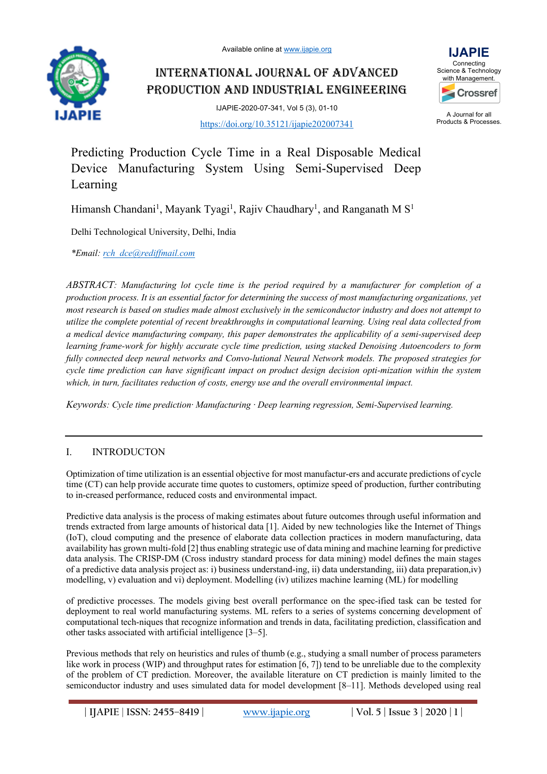Available online at www.ijapie.org



INTERNATIONAL JOURNAL OF ADVANCED PRODUCTION AND INDUSTRIAL ENGINEERING

> IJAPIE-2020-07-341, Vol 5 (3), 01-10 https://doi.org/10.35121/ijapie202007341



A Journal for all Products & Processes.

Predicting Production Cycle Time in a Real Disposable Medical Device Manufacturing System Using Semi-Supervised Deep Learning

Himansh Chandani<sup>1</sup>, Mayank Tyagi<sup>1</sup>, Rajiv Chaudhary<sup>1</sup>, and Ranganath M S<sup>1</sup>

Delhi Technological University, Delhi, India

*\*Email: rch\_dce@rediffmail.com*

*ABSTRACT: Manufacturing lot cycle time is the period required by a manufacturer for completion of a production process. It is an essential factor for determining the success of most manufacturing organizations, yet most research is based on studies made almost exclusively in the semiconductor industry and does not attempt to utilize the complete potential of recent breakthroughs in computational learning. Using real data collected from a medical device manufacturing company, this paper demonstrates the applicability of a semi-supervised deep learning frame-work for highly accurate cycle time prediction, using stacked Denoising Autoencoders to form fully connected deep neural networks and Convo-lutional Neural Network models. The proposed strategies for cycle time prediction can have significant impact on product design decision opti-mization within the system which, in turn, facilitates reduction of costs, energy use and the overall environmental impact.*

*Keywords: Cycle time prediction· Manufacturing · Deep learning regression, Semi-Supervised learning.*

# I. INTRODUCTON

Optimization of time utilization is an essential objective for most manufactur-ers and accurate predictions of cycle time (CT) can help provide accurate time quotes to customers, optimize speed of production, further contributing to in-creased performance, reduced costs and environmental impact.

Predictive data analysis is the process of making estimates about future outcomes through useful information and trends extracted from large amounts of historical data [1]. Aided by new technologies like the Internet of Things (IoT), cloud computing and the presence of elaborate data collection practices in modern manufacturing, data availability has grown multi-fold [2] thus enabling strategic use of data mining and machine learning for predictive data analysis. The CRISP-DM (Cross industry standard process for data mining) model defines the main stages of a predictive data analysis project as: i) business understand-ing, ii) data understanding, iii) data preparation,iv) modelling, v) evaluation and vi) deployment. Modelling (iv) utilizes machine learning (ML) for modelling

of predictive processes. The models giving best overall performance on the spec-ified task can be tested for deployment to real world manufacturing systems. ML refers to a series of systems concerning development of computational tech-niques that recognize information and trends in data, facilitating prediction, classification and other tasks associated with artificial intelligence [3–5].

Previous methods that rely on heuristics and rules of thumb (e.g., studying a small number of process parameters like work in process (WIP) and throughput rates for estimation [6, 7]) tend to be unreliable due to the complexity of the problem of CT prediction. Moreover, the available literature on CT prediction is mainly limited to the semiconductor industry and uses simulated data for model development [8–11]. Methods developed using real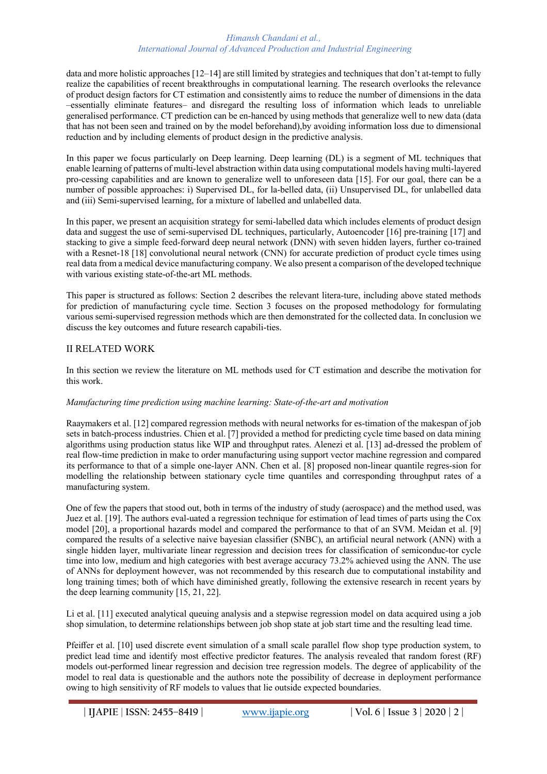data and more holistic approaches [12–14] are still limited by strategies and techniques that don't at-tempt to fully realize the capabilities of recent breakthroughs in computational learning. The research overlooks the relevance of product design factors for CT estimation and consistently aims to reduce the number of dimensions in the data –essentially eliminate features– and disregard the resulting loss of information which leads to unreliable generalised performance. CT prediction can be en-hanced by using methods that generalize well to new data (data that has not been seen and trained on by the model beforehand),by avoiding information loss due to dimensional reduction and by including elements of product design in the predictive analysis.

In this paper we focus particularly on Deep learning. Deep learning (DL) is a segment of ML techniques that enable learning of patterns of multi-level abstraction within data using computational models having multi-layered pro-cessing capabilities and are known to generalize well to unforeseen data [15]. For our goal, there can be a number of possible approaches: i) Supervised DL, for la-belled data, (ii) Unsupervised DL, for unlabelled data and (iii) Semi-supervised learning, for a mixture of labelled and unlabelled data.

In this paper, we present an acquisition strategy for semi-labelled data which includes elements of product design data and suggest the use of semi-supervised DL techniques, particularly, Autoencoder [16] pre-training [17] and stacking to give a simple feed-forward deep neural network (DNN) with seven hidden layers, further co-trained with a Resnet-18 [18] convolutional neural network (CNN) for accurate prediction of product cycle times using real data from a medical device manufacturing company. We also present a comparison of the developed technique with various existing state-of-the-art ML methods.

This paper is structured as follows: Section 2 describes the relevant litera-ture, including above stated methods for prediction of manufacturing cycle time. Section 3 focuses on the proposed methodology for formulating various semi-supervised regression methods which are then demonstrated for the collected data. In conclusion we discuss the key outcomes and future research capabili-ties.

# II RELATED WORK

In this section we review the literature on ML methods used for CT estimation and describe the motivation for this work.

## *Manufacturing time prediction using machine learning: State-of-the-art and motivation*

Raaymakers et al. [12] compared regression methods with neural networks for es-timation of the makespan of job sets in batch-process industries. Chien et al. [7] provided a method for predicting cycle time based on data mining algorithms using production status like WIP and throughput rates. Alenezi et al. [13] ad-dressed the problem of real flow-time prediction in make to order manufacturing using support vector machine regression and compared its performance to that of a simple one-layer ANN. Chen et al. [8] proposed non-linear quantile regres-sion for modelling the relationship between stationary cycle time quantiles and corresponding throughput rates of a manufacturing system.

One of few the papers that stood out, both in terms of the industry of study (aerospace) and the method used, was Juez et al. [19]. The authors eval-uated a regression technique for estimation of lead times of parts using the Cox model [20], a proportional hazards model and compared the performance to that of an SVM. Meidan et al. [9] compared the results of a selective naive bayesian classifier (SNBC), an artificial neural network (ANN) with a single hidden layer, multivariate linear regression and decision trees for classification of semiconduc-tor cycle time into low, medium and high categories with best average accuracy 73.2% achieved using the ANN. The use of ANNs for deployment however, was not recommended by this research due to computational instability and long training times; both of which have diminished greatly, following the extensive research in recent years by the deep learning community [15, 21, 22].

Li et al. [11] executed analytical queuing analysis and a stepwise regression model on data acquired using a job shop simulation, to determine relationships between job shop state at job start time and the resulting lead time.

Pfeiffer et al. [10] used discrete event simulation of a small scale parallel flow shop type production system, to predict lead time and identify most effective predictor features. The analysis revealed that random forest (RF) models out-performed linear regression and decision tree regression models. The degree of applicability of the model to real data is questionable and the authors note the possibility of decrease in deployment performance owing to high sensitivity of RF models to values that lie outside expected boundaries.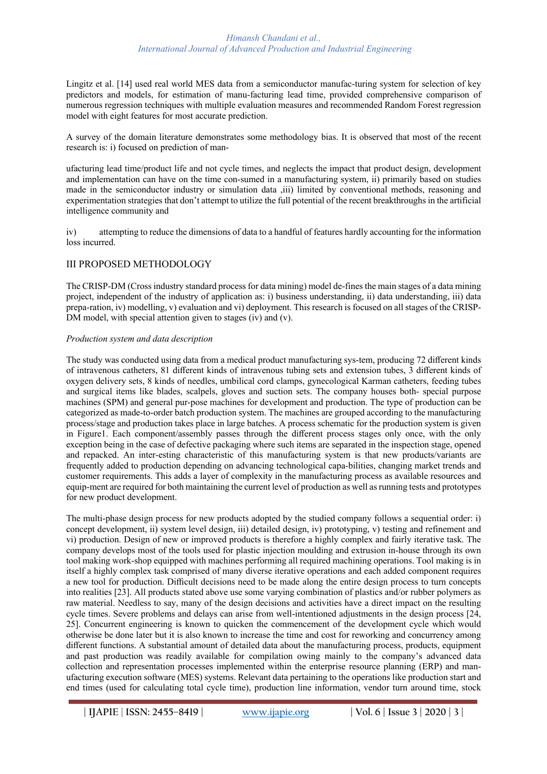Lingitz et al. [14] used real world MES data from a semiconductor manufac-turing system for selection of key predictors and models, for estimation of manu-facturing lead time, provided comprehensive comparison of numerous regression techniques with multiple evaluation measures and recommended Random Forest regression model with eight features for most accurate prediction.

A survey of the domain literature demonstrates some methodology bias. It is observed that most of the recent research is: i) focused on prediction of man-

ufacturing lead time/product life and not cycle times, and neglects the impact that product design, development and implementation can have on the time con-sumed in a manufacturing system, ii) primarily based on studies made in the semiconductor industry or simulation data ,iii) limited by conventional methods, reasoning and experimentation strategies that don't attempt to utilize the full potential of the recent breakthroughs in the artificial intelligence community and

iv) attempting to reduce the dimensions of data to a handful of features hardly accounting for the information loss incurred.

# III PROPOSED METHODOLOGY

The CRISP-DM (Cross industry standard process for data mining) model de-fines the main stages of a data mining project, independent of the industry of application as: i) business understanding, ii) data understanding, iii) data prepa-ration, iv) modelling, v) evaluation and vi) deployment. This research is focused on all stages of the CRISP-DM model, with special attention given to stages (iv) and (v).

## *Production system and data description*

The study was conducted using data from a medical product manufacturing sys-tem, producing 72 different kinds of intravenous catheters, 81 different kinds of intravenous tubing sets and extension tubes, 3 different kinds of oxygen delivery sets, 8 kinds of needles, umbilical cord clamps, gynecological Karman catheters, feeding tubes and surgical items like blades, scalpels, gloves and suction sets. The company houses both- special purpose machines (SPM) and general pur-pose machines for development and production. The type of production can be categorized as made-to-order batch production system. The machines are grouped according to the manufacturing process/stage and production takes place in large batches. A process schematic for the production system is given in Figure1. Each component/assembly passes through the different process stages only once, with the only exception being in the case of defective packaging where such items are separated in the inspection stage, opened and repacked. An inter-esting characteristic of this manufacturing system is that new products/variants are frequently added to production depending on advancing technological capa-bilities, changing market trends and customer requirements. This adds a layer of complexity in the manufacturing process as available resources and equip-ment are required for both maintaining the current level of production as well as running tests and prototypes for new product development.

The multi-phase design process for new products adopted by the studied company follows a sequential order: i) concept development, ii) system level design, iii) detailed design, iv) prototyping, v) testing and refinement and vi) production. Design of new or improved products is therefore a highly complex and fairly iterative task. The company develops most of the tools used for plastic injection moulding and extrusion in-house through its own tool making work-shop equipped with machines performing all required machining operations. Tool making is in itself a highly complex task comprised of many diverse iterative operations and each added component requires a new tool for production. Difficult decisions need to be made along the entire design process to turn concepts into realities [23]. All products stated above use some varying combination of plastics and/or rubber polymers as raw material. Needless to say, many of the design decisions and activities have a direct impact on the resulting cycle times. Severe problems and delays can arise from well-intentioned adjustments in the design process [24, 25]. Concurrent engineering is known to quicken the commencement of the development cycle which would otherwise be done later but it is also known to increase the time and cost for reworking and concurrency among different functions. A substantial amount of detailed data about the manufacturing process, products, equipment and past production was readily available for compilation owing mainly to the company's advanced data collection and representation processes implemented within the enterprise resource planning (ERP) and manufacturing execution software (MES) systems. Relevant data pertaining to the operations like production start and end times (used for calculating total cycle time), production line information, vendor turn around time, stock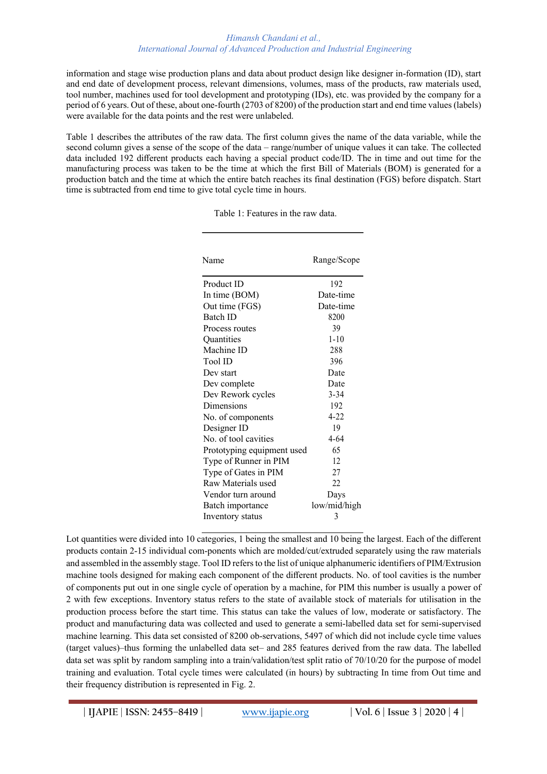information and stage wise production plans and data about product design like designer in-formation (ID), start and end date of development process, relevant dimensions, volumes, mass of the products, raw materials used, tool number, machines used for tool development and prototyping (IDs), etc. was provided by the company for a period of 6 years. Out of these, about one-fourth (2703 of 8200) of the production start and end time values (labels) were available for the data points and the rest were unlabeled.

Table 1 describes the attributes of the raw data. The first column gives the name of the data variable, while the second column gives a sense of the scope of the data – range/number of unique values it can take. The collected data included 192 different products each having a special product code/ID. The in time and out time for the manufacturing process was taken to be the time at which the first Bill of Materials (BOM) is generated for a production batch and the time at which the entire batch reaches its final destination (FGS) before dispatch. Start time is subtracted from end time to give total cycle time in hours.

| Name                       | Range/Scope  |  |  |  |
|----------------------------|--------------|--|--|--|
| Product ID                 | 192          |  |  |  |
| In time (BOM)              | Date-time    |  |  |  |
| Out time (FGS)             | Date-time    |  |  |  |
| Batch ID                   | 8200         |  |  |  |
| Process routes             | 39           |  |  |  |
| Quantities                 | $1 - 10$     |  |  |  |
| Machine ID                 | 288          |  |  |  |
| Tool ID                    | 396          |  |  |  |
| Dev start                  | Date         |  |  |  |
| Dev complete               | Date         |  |  |  |
| Dev Rework cycles          | $3 - 34$     |  |  |  |
| Dimensions                 | 192          |  |  |  |
| No. of components          | $4 - 22$     |  |  |  |
| Designer ID                | 19           |  |  |  |
| No. of tool cavities       | 4-64         |  |  |  |
| Prototyping equipment used | 65           |  |  |  |
| Type of Runner in PIM      | 12           |  |  |  |
| Type of Gates in PIM       | 27           |  |  |  |
| Raw Materials used         | 22.          |  |  |  |
| Vendor turn around         | Days         |  |  |  |
| Batch importance           | low/mid/high |  |  |  |
| Inventory status           | 3            |  |  |  |

Table 1: Features in the raw data.

Lot quantities were divided into 10 categories, 1 being the smallest and 10 being the largest. Each of the different products contain 2-15 individual com-ponents which are molded/cut/extruded separately using the raw materials and assembled in the assembly stage. Tool ID refers to the list of unique alphanumeric identifiers of PIM/Extrusion machine tools designed for making each component of the different products. No. of tool cavities is the number of components put out in one single cycle of operation by a machine, for PIM this number is usually a power of 2 with few exceptions. Inventory status refers to the state of available stock of materials for utilisation in the production process before the start time. This status can take the values of low, moderate or satisfactory. The product and manufacturing data was collected and used to generate a semi-labelled data set for semi-supervised machine learning. This data set consisted of 8200 ob-servations, 5497 of which did not include cycle time values (target values)–thus forming the unlabelled data set– and 285 features derived from the raw data. The labelled data set was split by random sampling into a train/validation/test split ratio of 70/10/20 for the purpose of model training and evaluation. Total cycle times were calculated (in hours) by subtracting In time from Out time and their frequency distribution is represented in Fig. 2.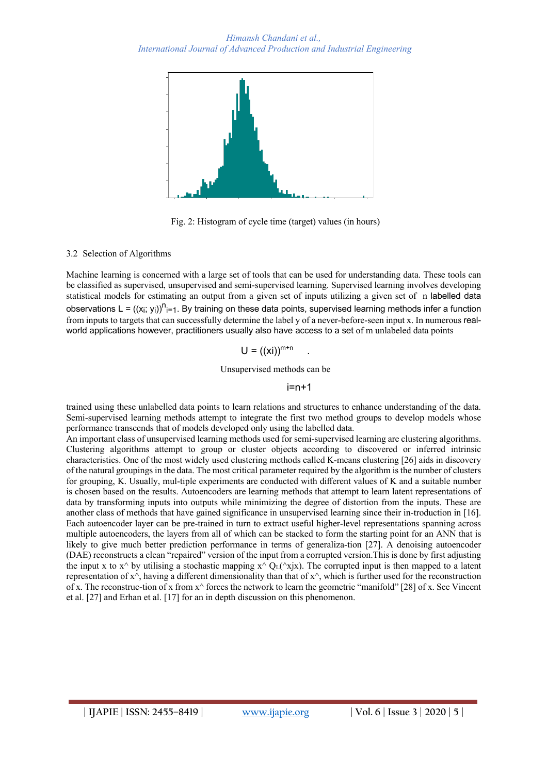

Fig. 2: Histogram of cycle time (target) values (in hours)

## 3.2 Selection of Algorithms

Machine learning is concerned with a large set of tools that can be used for understanding data. These tools can be classified as supervised, unsupervised and semi-supervised learning. Supervised learning involves developing statistical models for estimating an output from a given set of inputs utilizing a given set of n labelled data observations L = ((xi; yi))<sup>n</sup>i=1. By training on these data points, supervised learning methods infer a function from inputs to targets that can successfully determine the label y of a never-before-seen input x. In numerous realworld applications however, practitioners usually also have access to a set of m unlabeled data points

$$
U = ((xi))^{m+n}
$$

Unsupervised methods can be

 $i=n+1$ 

trained using these unlabelled data points to learn relations and structures to enhance understanding of the data. Semi-supervised learning methods attempt to integrate the first two method groups to develop models whose performance transcends that of models developed only using the labelled data.

An important class of unsupervised learning methods used for semi-supervised learning are clustering algorithms. Clustering algorithms attempt to group or cluster objects according to discovered or inferred intrinsic characteristics. One of the most widely used clustering methods called K-means clustering [26] aids in discovery of the natural groupings in the data. The most critical parameter required by the algorithm is the number of clusters for grouping, K. Usually, mul-tiple experiments are conducted with different values of K and a suitable number is chosen based on the results. Autoencoders are learning methods that attempt to learn latent representations of data by transforming inputs into outputs while minimizing the degree of distortion from the inputs. These are another class of methods that have gained significance in unsupervised learning since their in-troduction in [16]. Each autoencoder layer can be pre-trained in turn to extract useful higher-level representations spanning across multiple autoencoders, the layers from all of which can be stacked to form the starting point for an ANN that is likely to give much better prediction performance in terms of generaliza-tion [27]. A denoising autoencoder (DAE) reconstructs a clean "repaired" version of the input from a corrupted version.This is done by first adjusting the input x to  $x^{\wedge}$  by utilising a stochastic mapping  $x^{\wedge} Q_L(\wedge x)$ . The corrupted input is then mapped to a latent representation of  $x^{\wedge}$ , having a different dimensionality than that of  $x^{\wedge}$ , which is further used for the reconstruction of x. The reconstruc-tion of x from x^ forces the network to learn the geometric "manifold" [28] of x. See Vincent et al. [27] and Erhan et al. [17] for an in depth discussion on this phenomenon.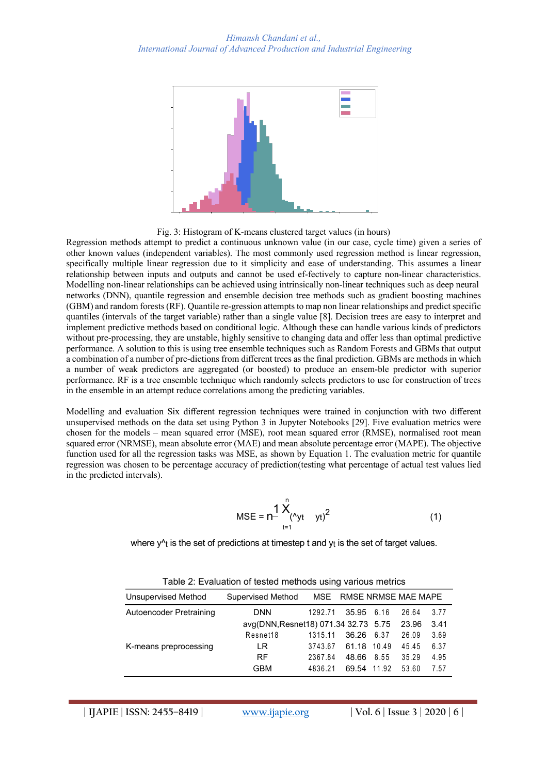

Fig. 3: Histogram of K-means clustered target values (in hours)

Regression methods attempt to predict a continuous unknown value (in our case, cycle time) given a series of other known values (independent variables). The most commonly used regression method is linear regression, specifically multiple linear regression due to it simplicity and ease of understanding. This assumes a linear relationship between inputs and outputs and cannot be used ef-fectively to capture non-linear characteristics. Modelling non-linear relationships can be achieved using intrinsically non-linear techniques such as deep neural networks (DNN), quantile regression and ensemble decision tree methods such as gradient boosting machines (GBM) and random forests (RF). Quantile re-gression attempts to map non linear relationships and predict specific quantiles (intervals of the target variable) rather than a single value [8]. Decision trees are easy to interpret and implement predictive methods based on conditional logic. Although these can handle various kinds of predictors without pre-processing, they are unstable, highly sensitive to changing data and offer less than optimal predictive performance. A solution to this is using tree ensemble techniques such as Random Forests and GBMs that output a combination of a number of pre-dictions from different trees as the final prediction. GBMs are methods in which a number of weak predictors are aggregated (or boosted) to produce an ensem-ble predictor with superior performance. RF is a tree ensemble technique which randomly selects predictors to use for construction of trees in the ensemble in an attempt reduce correlations among the predicting variables.

Modelling and evaluation Six different regression techniques were trained in conjunction with two different unsupervised methods on the data set using Python 3 in Jupyter Notebooks [29]. Five evaluation metrics were chosen for the models – mean squared error (MSE), root mean squared error (RMSE), normalised root mean squared error (NRMSE), mean absolute error (MAE) and mean absolute percentage error (MAPE). The objective function used for all the regression tasks was MSE, as shown by Equation 1. The evaluation metric for quantile regression was chosen to be percentage accuracy of prediction(testing what percentage of actual test values lied in the predicted intervals).

MSE = 
$$
n^{\frac{1}{2}} \sum_{t=1}^{n} (x_{yt} - y_t)^2
$$
 (1)

where  $y^{\wedge}$  is the set of predictions at timestep t and  $y_t$  is the set of target values.

| Table 2. Evaluation of tested methods using various methos |                                      |         |                         |       |       |      |  |  |
|------------------------------------------------------------|--------------------------------------|---------|-------------------------|-------|-------|------|--|--|
| Unsupervised Method                                        | Supervised Method                    |         | MSE RMSE NRMSE MAE MAPE |       |       |      |  |  |
| Autoencoder Pretraining                                    | <b>DNN</b>                           | 1292.71 | 35.95 6.16              |       | 26.64 | 3.77 |  |  |
|                                                            | avg(DNN, Resnet18) 071.34 32.73 5.75 |         |                         |       | 23.96 | 3.41 |  |  |
|                                                            | Resnet18                             | 1315.11 | 36.26                   | 6.37  | 26.09 | 3.69 |  |  |
| K-means preprocessing                                      | LR                                   | 3743.67 | 61.18 10.49             |       | 45.45 | 6.37 |  |  |
|                                                            | <b>RF</b>                            | 2367.84 | 48.66                   | 8.55  | 35.29 | 4.95 |  |  |
|                                                            | <b>GBM</b>                           | 4836.21 | 69.54                   | 11.92 | 53.60 | 7.57 |  |  |

Table 2: Evaluation of tested methods using various metrics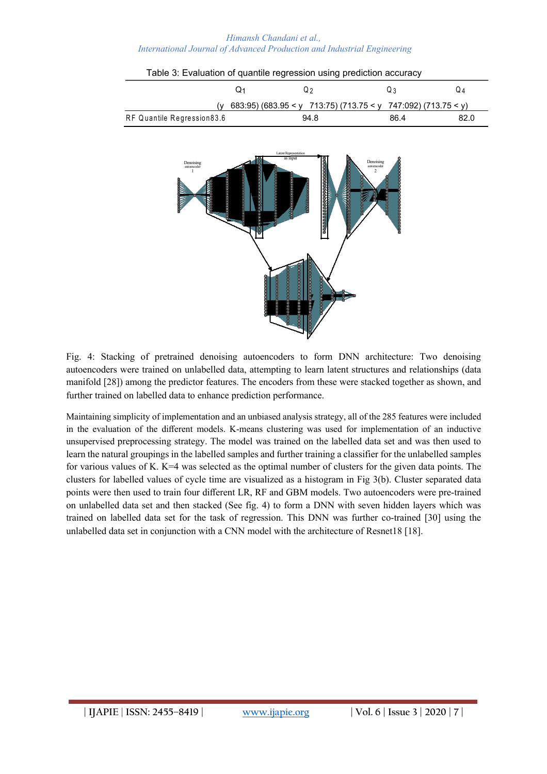# Table 3: Evaluation of quantile regression using prediction accuracy  $Q_1$   $Q_2$   $Q_3$   $Q_4$ (y 683:95) (683.95 < y 713:75) (713.75 < y 747:092) (713.75 < y) RF Quantile Regression 83.6 894.8 86.4 82.0 Latent Representation as input Denoising autoencoder 1 Denoising autoencoder 2

Fig. 4: Stacking of pretrained denoising autoencoders to form DNN architecture: Two denoising autoencoders were trained on unlabelled data, attempting to learn latent structures and relationships (data manifold [28]) among the predictor features. The encoders from these were stacked together as shown, and further trained on labelled data to enhance prediction performance.

Maintaining simplicity of implementation and an unbiased analysis strategy, all of the 285 features were included in the evaluation of the different models. K-means clustering was used for implementation of an inductive unsupervised preprocessing strategy. The model was trained on the labelled data set and was then used to learn the natural groupings in the labelled samples and further training a classifier for the unlabelled samples for various values of K. K=4 was selected as the optimal number of clusters for the given data points. The clusters for labelled values of cycle time are visualized as a histogram in Fig 3(b). Cluster separated data points were then used to train four different LR, RF and GBM models. Two autoencoders were pre-trained on unlabelled data set and then stacked (See fig. 4) to form a DNN with seven hidden layers which was trained on labelled data set for the task of regression. This DNN was further co-trained [30] using the unlabelled data set in conjunction with a CNN model with the architecture of Resnet18 [18].

## *Himansh Chandani et al., International Journal of Advanced Production and Industrial Engineering*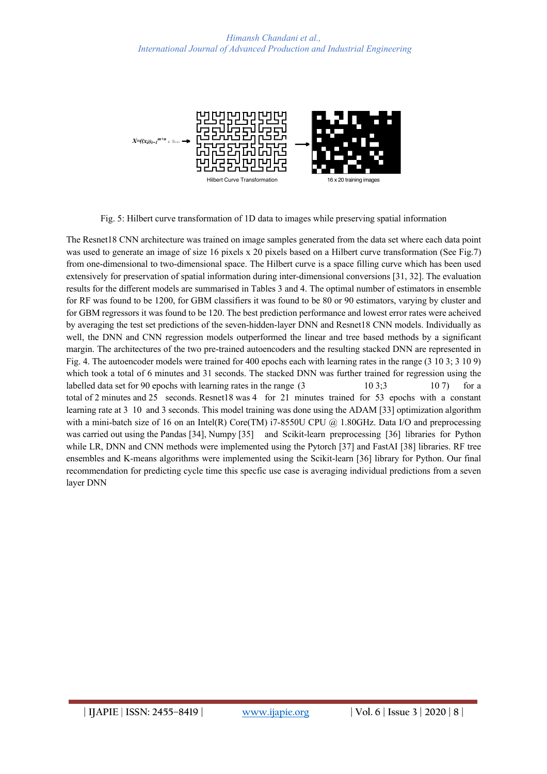

Fig. 5: Hilbert curve transformation of 1D data to images while preserving spatial information

The Resnet18 CNN architecture was trained on image samples generated from the data set where each data point was used to generate an image of size 16 pixels x 20 pixels based on a Hilbert curve transformation (See Fig.7) from one-dimensional to two-dimensional space. The Hilbert curve is a space filling curve which has been used extensively for preservation of spatial information during inter-dimensional conversions [31, 32]. The evaluation results for the different models are summarised in Tables 3 and 4. The optimal number of estimators in ensemble for RF was found to be 1200, for GBM classifiers it was found to be 80 or 90 estimators, varying by cluster and for GBM regressors it was found to be 120. The best prediction performance and lowest error rates were acheived by averaging the test set predictions of the seven-hidden-layer DNN and Resnet18 CNN models. Individually as well, the DNN and CNN regression models outperformed the linear and tree based methods by a significant margin. The architectures of the two pre-trained autoencoders and the resulting stacked DNN are represented in Fig. 4. The autoencoder models were trained for 400 epochs each with learning rates in the range (3 10 3; 3 10 9) which took a total of 6 minutes and 31 seconds. The stacked DNN was further trained for regression using the labelled data set for 90 epochs with learning rates in the range  $(3 \t 10 \t 3;3 \t 10 \t 7)$  for a total of 2 minutes and 25 seconds. Resnet18 was 4 for 21 minutes trained for 53 epochs with a constant learning rate at 3 10 and 3 seconds. This model training was done using the ADAM [33] optimization algorithm with a mini-batch size of 16 on an Intel(R) Core(TM) i7-8550U CPU  $\omega$  1.80GHz. Data I/O and preprocessing was carried out using the Pandas [34], Numpy [35] and Scikit-learn preprocessing [36] libraries for Python while LR, DNN and CNN methods were implemented using the Pytorch [37] and FastAI [38] libraries. RF tree ensembles and K-means algorithms were implemented using the Scikit-learn [36] library for Python. Our final recommendation for predicting cycle time this specfic use case is averaging individual predictions from a seven layer DNN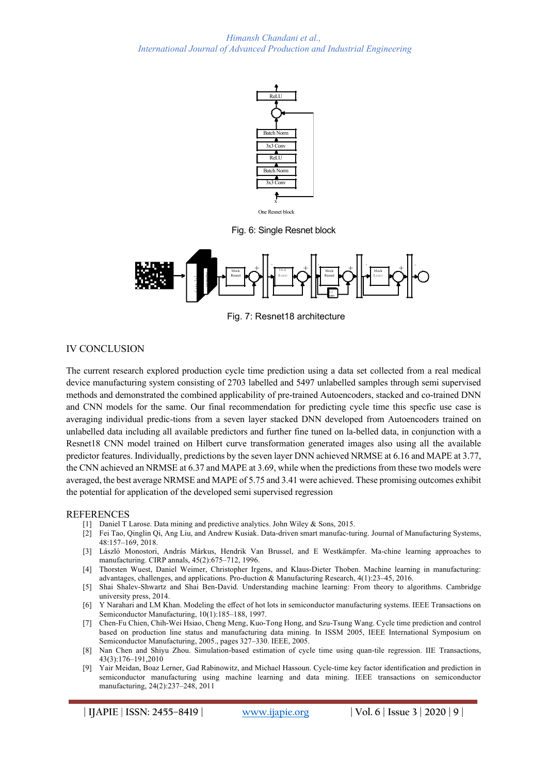

Fig. 6: Single Resnet block



Fig. 7: Resnet18 architecture

# IV CONCLUSION

The current research explored production cycle time prediction using a data set collected from a real medical device manufacturing system consisting of 2703 labelled and 5497 unlabelled samples through semi supervised methods and demonstrated the combined applicability of pre-trained Autoencoders, stacked and co-trained DNN and CNN models for the same. Our final recommendation for predicting cycle time this specfic use case is averaging individual predic-tions from a seven layer stacked DNN developed from Autoencoders trained on unlabelled data including all available predictors and further fine tuned on la-belled data, in conjunction with a Resnet18 CNN model trained on Hilbert curve transformation generated images also using all the available predictor features. Individually, predictions by the seven layer DNN achieved NRMSE at 6.16 and MAPE at 3.77, the CNN achieved an NRMSE at 6.37 and MAPE at 3.69, while when the predictions from these two models were averaged, the best average NRMSE and MAPE of 5.75 and 3.41 were achieved. These promising outcomes exhibit the potential for application of the developed semi supervised regression

### REFERENCES

- [1] Daniel T Larose. Data mining and predictive analytics. John Wiley & Sons, 2015.
- [2] Fei Tao, Qinglin Qi, Ang Liu, and Andrew Kusiak. Data-driven smart manufac-turing. Journal of Manufacturing Systems, 48:157–169, 2018.
- [3] László Monostori, András Márkus, Hendrik Van Brussel, and E Westkämpfer. Ma-chine learning approaches to manufacturing. CIRP annals, 45(2):675–712, 1996.
- [4] Thorsten Wuest, Daniel Weimer, Christopher Irgens, and Klaus-Dieter Thoben. Machine learning in manufacturing: advantages, challenges, and applications. Pro-duction & Manufacturing Research, 4(1):23–45, 2016.
- [5] Shai Shalev-Shwartz and Shai Ben-David. Understanding machine learning: From theory to algorithms. Cambridge university press, 2014.
- [6] Y Narahari and LM Khan. Modeling the effect of hot lots in semiconductor manufacturing systems. IEEE Transactions on Semiconductor Manufacturing, 10(1):185–188, 1997.
- [7] Chen-Fu Chien, Chih-Wei Hsiao, Cheng Meng, Kuo-Tong Hong, and Szu-Tsung Wang. Cycle time prediction and control based on production line status and manufacturing data mining. In ISSM 2005, IEEE International Symposium on Semiconductor Manufacturing, 2005., pages 327–330. IEEE, 2005.
- [8] Nan Chen and Shiyu Zhou. Simulation-based estimation of cycle time using quan-tile regression. IIE Transactions, 43(3):176–191,2010
- [9] Yair Meidan, Boaz Lerner, Gad Rabinowitz, and Michael Hassoun. Cycle-time key factor identification and prediction in semiconductor manufacturing using machine learning and data mining. IEEE transactions on semiconductor manufacturing, 24(2):237–248, 2011